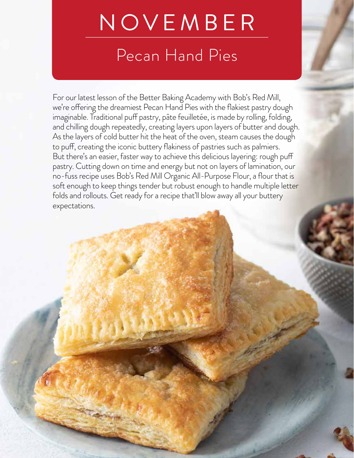# NOVEMBER

# Pecan Hand Pies

For our latest lesson of the Better Baking Academy with Bob's Red Mill, we're offering the dreamiest Pecan Hand Pies with the flakiest pastry dough imaginable. Traditional puff pastry, pâte feuilletée, is made by rolling, folding, and chilling dough repeatedly, creating layers upon layers of butter and dough. As the layers of cold butter hit the heat of the oven, steam causes the dough to puff, creating the iconic buttery flakiness of pastries such as palmiers. But there's an easier, faster way to achieve this delicious layering: rough puff pastry. Cutting down on time and energy but not on layers of lamination, our no-fuss recipe uses Bob's Red Mill Organic All-Purpose Flour, a flour that is soft enough to keep things tender but robust enough to handle multiple letter folds and rollouts. Get ready for a recipe that'll blow away all your buttery expectations.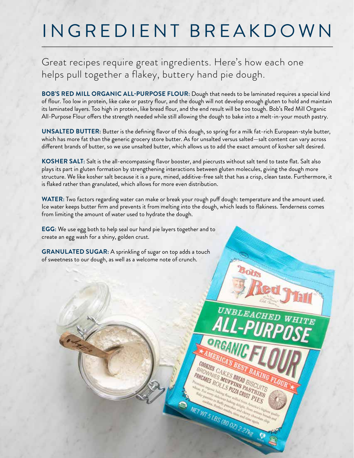# INGREDIENT BREAKDOWN

Great recipes require great ingredients. Here's how each one helps pull together a flakey, buttery hand pie dough.

**BOB'S RED MILL ORGANIC ALL-PURPOSE FLOUR:** Dough that needs to be laminated requires a special kind of flour. Too low in protein, like cake or pastry flour, and the dough will not develop enough gluten to hold and maintain its laminated layers. Too high in protein, like bread flour, and the end result will be too tough. Bob's Red Mill Organic All-Purpose Flour offers the strength needed while still allowing the dough to bake into a melt-in-your mouth pastry.

**UNSALTED BUTTER:** Butter is the defining flavor of this dough, so spring for a milk fat-rich European-style butter, which has more fat than the generic grocery store butter. As for unsalted versus salted—salt content can vary across different brands of butter, so we use unsalted butter, which allows us to add the exact amount of kosher salt desired.

**KOSHER SALT:** Salt is the all-encompassing flavor booster, and piecrusts without salt tend to taste flat. Salt also plays its part in gluten formation by strengthening interactions between gluten molecules, giving the dough more structure. We like kosher salt because it is a pure, mined, additive-free salt that has a crisp, clean taste. Furthermore, it is flaked rather than granulated, which allows for more even distribution.

**WATER:** Two factors regarding water can make or break your rough puff dough: temperature and the amount used. Ice water keeps butter firm and prevents it from melting into the dough, which leads to flakiness. Tenderness comes from limiting the amount of water used to hydrate the dough.

UNBLEACH

ORGANIC F

**COOKIES CAKES BREAD BISCUITS PANCARES BREAD BLACK AND RAISE ROLLS PIZZA PASS** 

NET WT 5 LBS (80 07) 227kg

**EGG:** We use egg both to help seal our hand pie layers together and to create an egg wash for a shiny, golden crust.

**GRANULATED SUGAR:** A sprinkling of sugar on top adds a touch of sweetness to our dough, as well as a welcome note of crunch.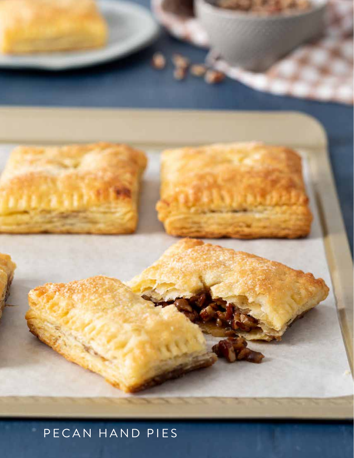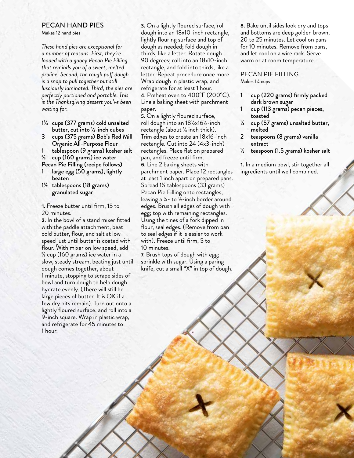#### PECAN HAND PIES

Makes 12 hand pies

*These hand pies are exceptional for a number of reasons. First, they're loaded with a gooey Pecan Pie Filling that reminds you of a sweet, melted praline. Second, the rough puff dough is a snap to pull together but still lusciously laminated. Third, the pies are perfectly portioned and portable. This is the Thanksgiving dessert you've been waiting for.* 

- 1⅔ cups (377 grams) cold unsalted butter, cut into ½-inch cubes
- 3 cups (375 grams) Bob's Red Mill Organic All-Purpose Flour
- 1 tablespoon (9 grams) kosher salt
- $\frac{2}{3}$  cup (160 grams) ice water
- Pecan Pie Filling (recipe follows) large egg (50 grams), lightly
- beaten
- 1½ tablespoons (18 grams) granulated sugar

1. Freeze butter until firm, 15 to 20 minutes.

2. In the bowl of a stand mixer fitted with the paddle attachment, beat cold butter, flour, and salt at low speed just until butter is coated with flour. With mixer on low speed, add ⅔ cup (160 grams) ice water in a slow, steady stream, beating just until dough comes together, about 1 minute, stopping to scrape sides of bowl and turn dough to help dough hydrate evenly. (There will still be large pieces of butter. It is OK if a few dry bits remain). Turn out onto a lightly floured surface, and roll into a 9-inch square. Wrap in plastic wrap, and refrigerate for 45 minutes to 1 hour.

3. On a lightly floured surface, roll dough into an 18x10-inch rectangle, lightly flouring surface and top of dough as needed; fold dough in thirds, like a letter. Rotate dough 90 degrees; roll into an 18x10-inch rectangle, and fold into thirds, like a letter. Repeat procedure once more. Wrap dough in plastic wrap, and refrigerate for at least 1 hour. 4. Preheat oven to 400°F (200°C). Line a baking sheet with parchment paper.

5. On a lightly floured surface, roll dough into an 18½x16½-inch rectangle (about ⅛ inch thick). Trim edges to create an 18x16-inch rectangle. Cut into 24 (4x3-inch) rectangles. Place flat on prepared pan, and freeze until firm. 6. Line 2 baking sheets with parchment paper. Place 12 rectangles at least 1 inch apart on prepared pans. Spread 1½ tablespoons (33 grams) Pecan Pie Filling onto rectangles, leaving a ¼- to ½-inch border around edges. Brush all edges of dough with egg; top with remaining rectangles. Using the tines of a fork dipped in flour, seal edges. (Remove from pan to seal edges if it is easier to work with). Freeze until firm, 5 to 10 minutes.

7. Brush tops of dough with egg; sprinkle with sugar. Using a paring knife, cut a small "X" in top of dough.

8. Bake until sides look dry and tops and bottoms are deep golden brown, 20 to 25 minutes. Let cool on pans for 10 minutes. Remove from pans, and let cool on a wire rack. Serve warm or at room temperature.

#### PECAN PIE FILLING Makes 1¼ cups

- 1 cup (220 grams) firmly packed dark brown sugar
- 1 cup (113 grams) pecan pieces, toasted
- ¼ cup (57 grams) unsalted butter, melted
- 2 teaspoons (8 grams) vanilla extract
- ½ teaspoon (1.5 grams) kosher salt

1. In a medium bowl, stir together all ingredients until well combined.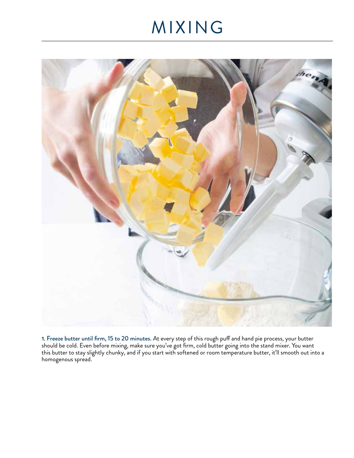# MIXING



1. Freeze butter until firm, 15 to 20 minutes. At every step of this rough puff and hand pie process, your butter should be cold. Even before mixing, make sure you've got firm, cold butter going into the stand mixer. You want this butter to stay slightly chunky, and if you start with softened or room temperature butter, it'll smooth out into a homogenous spread.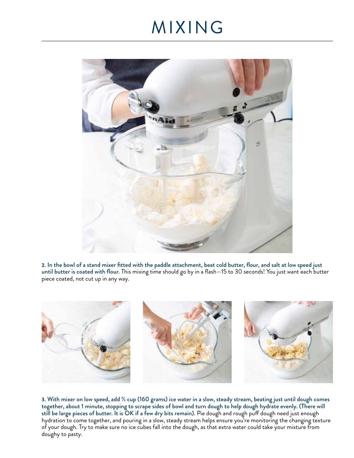#### MIXING



2. In the bowl of a stand mixer fitted with the paddle attachment, beat cold butter, flour, and salt at low speed just until butter is coated with flour. This mixing time should go by in a flash—15 to 30 seconds! You just want each butter piece coated, not cut up in any way.



3. With mixer on low speed, add ⅔ cup (160 grams) ice water in a slow, steady stream, beating just until dough comes together, about 1 minute, stopping to scrape sides of bowl and turn dough to help dough hydrate evenly. (There will still be large pieces of butter. It is OK if a few dry bits remain). Pie dough and rough puff dough need just enough hydration to come together, and pouring in a slow, steady stream helps ensure you're monitoring the changing texture of your dough. Try to make sure no ice cubes fall into the dough, as that extra water could take your mixture from doughy to pasty.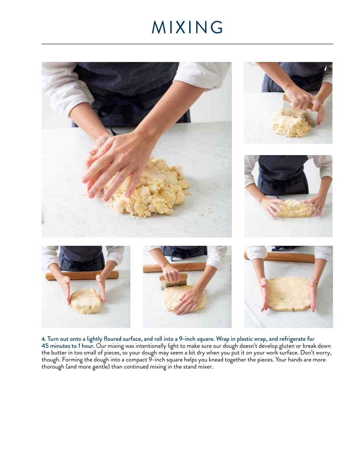### MIXING



4. Turn out onto a lightly floured surface, and roll into a 9-inch square. Wrap in plastic wrap, and refrigerate for 45 minutes to 1 hour. Our mixing was intentionally light to make sure our dough doesn't develop gluten or break down the butter in too small of pieces, so your dough may seem a bit dry when you put it on your work surface. Don't worry, though. Forming the dough into a compact 9-inch square helps you knead together the pieces. Your hands are more thorough (and more gentle) than continued mixing in the stand mixer.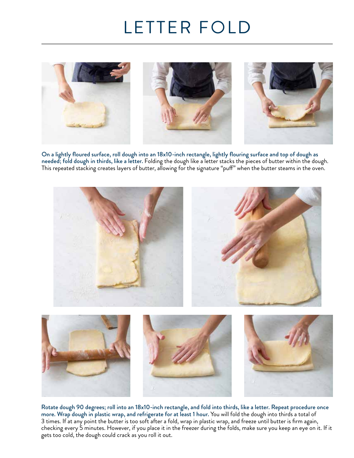# LETTER FOLD



On a lightly floured surface, roll dough into an 18x10-inch rectangle, lightly flouring surface and top of dough as needed; fold dough in thirds, like a letter. Folding the dough like a letter stacks the pieces of butter within the dough. This repeated stacking creates layers of butter, allowing for the signature "puff" when the butter steams in the oven.



Rotate dough 90 degrees; roll into an 18x10-inch rectangle, and fold into thirds, like a letter. Repeat procedure once more. Wrap dough in plastic wrap, and refrigerate for at least 1 hour. You will fold the dough into thirds a total of 3 times. If at any point the butter is too soft after a fold, wrap in plastic wrap, and freeze until butter is firm again, checking every 5 minutes. However, if you place it in the freezer during the folds, make sure you keep an eye on it. If it gets too cold, the dough could crack as you roll it out.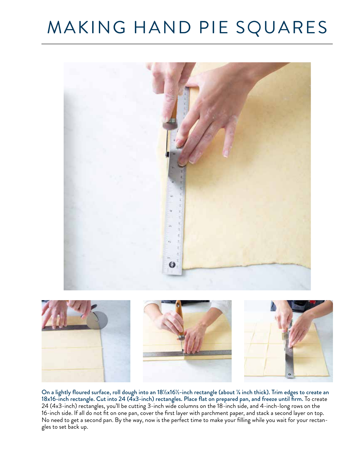# MAKING HAND PIE SQUARES



On a lightly floured surface, roll dough into an 18½x16½-inch rectangle (about ⅛ inch thick). Trim edges to create an 18x16-inch rectangle. Cut into 24 (4x3-inch) rectangles. Place flat on prepared pan, and freeze until firm. To create 24 (4x3-inch) rectangles, you'll be cutting 3-inch wide columns on the 18-inch side, and 4-inch-long rows on the 16-inch side. If all do not fit on one pan, cover the first layer with parchment paper, and stack a second layer on top. No need to get a second pan. By the way, now is the perfect time to make your filling while you wait for your rectangles to set back up.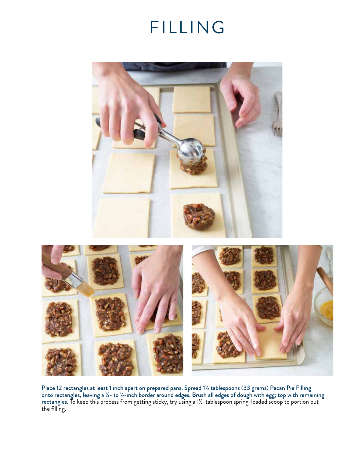# FILLING



Place 12 rectangles at least 1 inch apart on prepared pans. Spread 1½ tablespoons (33 grams) Pecan Pie Filling onto rectangles, leaving a ¼- to ½-inch border around edges. Brush all edges of dough with egg; top with remaining rectangles. To keep this process from getting sticky, try using a 1½-tablespoon spring-loaded scoop to portion out the filling.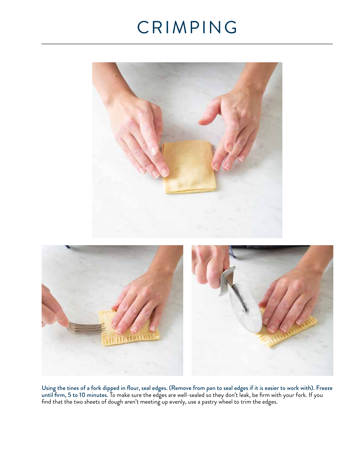# CRIMPING





Using the tines of a fork dipped in flour, seal edges. (Remove from pan to seal edges if it is easier to work with). Freeze until firm, 5 to 10 minutes. To make sure the edges are well-sealed so they don't leak, be firm with your fork. If you find that the two sheets of dough aren't meeting up evenly, use a pastry wheel to trim the edges.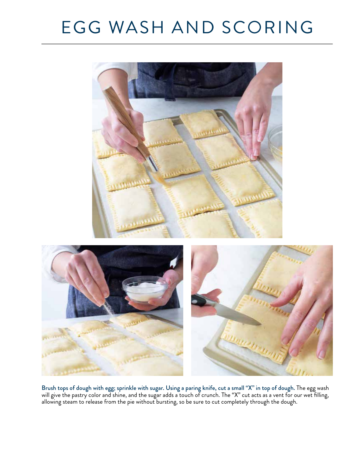# EGG WASH AND SCORING



Brush tops of dough with egg; sprinkle with sugar. Using a paring knife, cut a small "X" in top of dough. The egg wash will give the pastry color and shine, and the sugar adds a touch of crunch. The "X" cut acts as a vent for our wet filling, allowing steam to release from the pie without bursting, so be sure to cut completely through the dough.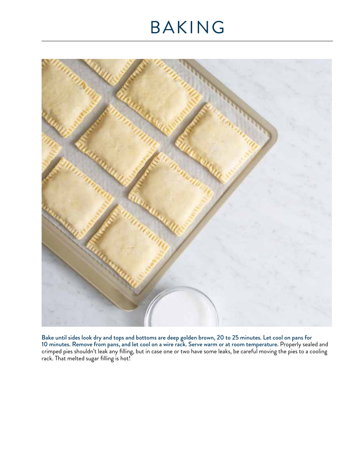# BAKING



Bake until sides look dry and tops and bottoms are deep golden brown, 20 to 25 minutes. Let cool on pans for 10 minutes. Remove from pans, and let cool on a wire rack. Serve warm or at room temperature. Properly sealed and crimped pies shouldn't leak any filling, but in case one or two have some leaks, be careful moving the pies to a cooling rack. That melted sugar filling is hot!